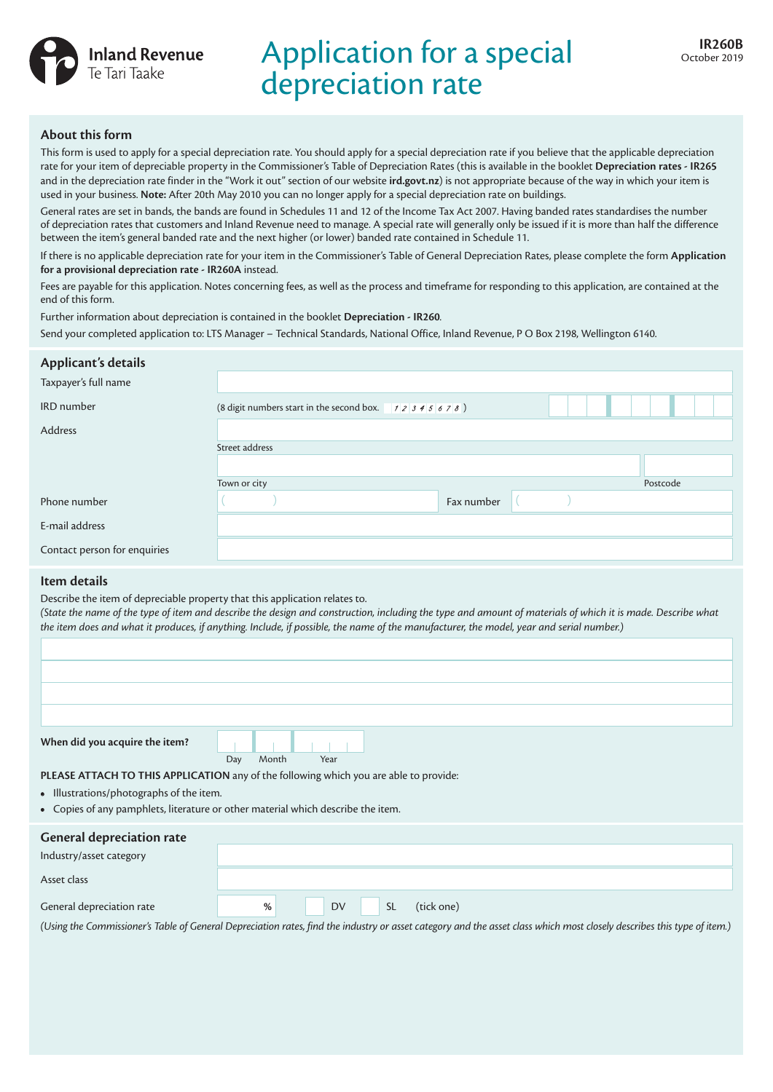

# Application for a special depreciation rate

## **About this form**

This form is used to apply for a special depreciation rate. You should apply for a special depreciation rate if you believe that the applicable depreciation rate for your item of depreciable property in the Commissioner's Table of Depreciation Rates (this is available in the booklet **Depreciation rates - IR265** and in the depreciation rate finder in the "Work it out" section of our website **ird.govt.nz**) is not appropriate because of the way in which your item is used in your business. **Note:** After 20th May 2010 you can no longer apply for a special depreciation rate on buildings.

General rates are set in bands, the bands are found in Schedules 11 and 12 of the Income Tax Act 2007. Having banded rates standardises the number of depreciation rates that customers and Inland Revenue need to manage. A special rate will generally only be issued if it is more than half the difference between the item's general banded rate and the next higher (or lower) banded rate contained in Schedule 11.

If there is no applicable depreciation rate for your item in the Commissioner's Table of General Depreciation Rates, please complete the form **Application for a provisional depreciation rate - IR260A** instead.

Fees are payable for this application. Notes concerning fees, as well as the process and timeframe for responding to this application, are contained at the end of this form.

Further information about depreciation is contained in the booklet **Depreciation - IR260***.*

Send your completed application to: LTS Manager – Technical Standards, National Office, Inland Revenue, P O Box 2198, Wellington 6140.

| Applicant's details          |                                                        |            |  |          |  |
|------------------------------|--------------------------------------------------------|------------|--|----------|--|
| Taxpayer's full name         |                                                        |            |  |          |  |
| <b>IRD</b> number            | (8 digit numbers start in the second box. $12345678$ ) |            |  |          |  |
| Address                      |                                                        |            |  |          |  |
|                              | Street address                                         |            |  |          |  |
|                              |                                                        |            |  |          |  |
|                              | Town or city                                           |            |  | Postcode |  |
| Phone number                 |                                                        | Fax number |  |          |  |
| E-mail address               |                                                        |            |  |          |  |
| Contact person for enquiries |                                                        |            |  |          |  |

## **Item details**

Describe the item of depreciable property that this application relates to.

(State the name of the type of item and describe the design and construction, including the type and amount of materials of which it is made. Describe what *the item does and what it produces, if anything. Include, if possible, the name of the manufacturer, the model, year and serial number.)*

| When did you acquire the item? |                      |
|--------------------------------|----------------------|
|                                | Month<br>Year<br>Day |

**PLEASE ATTACH TO THIS APPLICATION** any of the following which you are able to provide:

- **•** Illustrations/photographs of the item.
- **•** Copies of any pamphlets, literature or other material which describe the item.

| <b>General depreciation rate</b><br>Industry/asset category |                                           |
|-------------------------------------------------------------|-------------------------------------------|
| Asset class                                                 |                                           |
| General depreciation rate                                   | <b>DV</b><br><b>SL</b><br>(tick one)<br>% |

*(Using the Commissioner's Table of General Depreciation rates, find the industry or asset category and the asset class which most closely describes this type of item.)*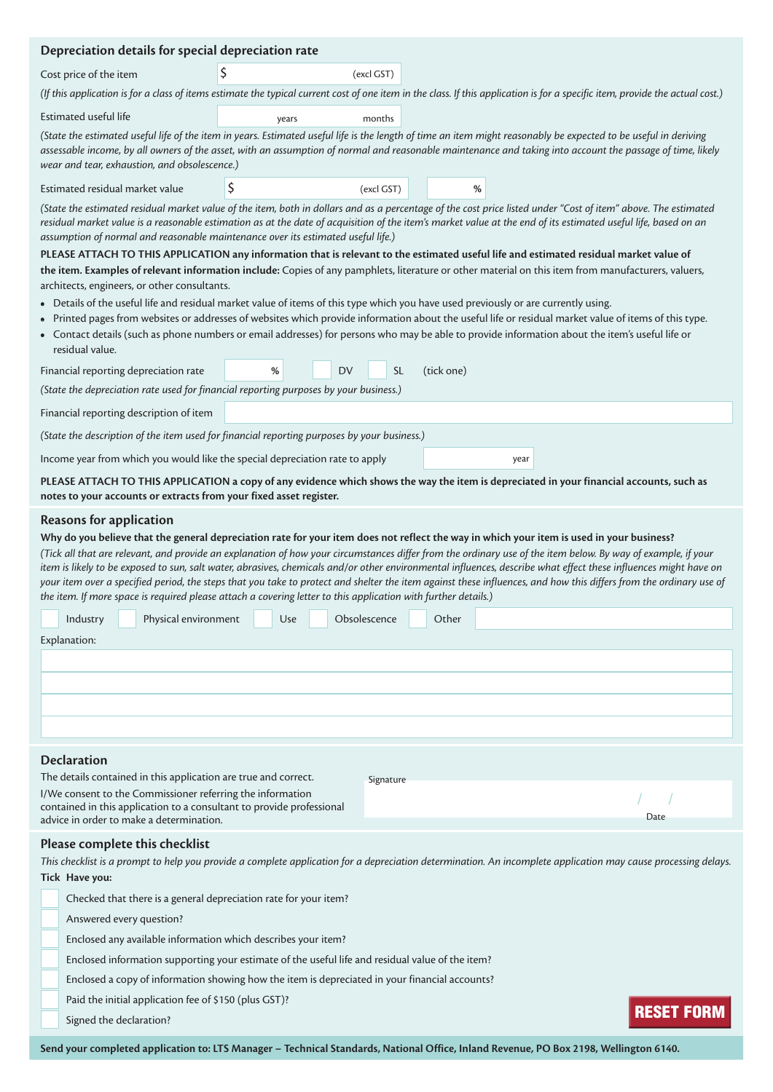| Depreciation details for special depreciation rate                                                                                                                                                                                                                                                                                                                                                                                                                                                                                                                                                                                                                                                                                                                                                                                                                              |                                                                                                                                                                                                                                                                                                                                               |            |            |                                                                                                                                                                                   |  |  |  |  |
|---------------------------------------------------------------------------------------------------------------------------------------------------------------------------------------------------------------------------------------------------------------------------------------------------------------------------------------------------------------------------------------------------------------------------------------------------------------------------------------------------------------------------------------------------------------------------------------------------------------------------------------------------------------------------------------------------------------------------------------------------------------------------------------------------------------------------------------------------------------------------------|-----------------------------------------------------------------------------------------------------------------------------------------------------------------------------------------------------------------------------------------------------------------------------------------------------------------------------------------------|------------|------------|-----------------------------------------------------------------------------------------------------------------------------------------------------------------------------------|--|--|--|--|
| Cost price of the item                                                                                                                                                                                                                                                                                                                                                                                                                                                                                                                                                                                                                                                                                                                                                                                                                                                          |                                                                                                                                                                                                                                                                                                                                               | (excl GST) |            |                                                                                                                                                                                   |  |  |  |  |
|                                                                                                                                                                                                                                                                                                                                                                                                                                                                                                                                                                                                                                                                                                                                                                                                                                                                                 |                                                                                                                                                                                                                                                                                                                                               |            |            | (If this application is for a class of items estimate the typical current cost of one item in the class. If this application is for a specific item, provide the actual cost.)    |  |  |  |  |
| Estimated useful life                                                                                                                                                                                                                                                                                                                                                                                                                                                                                                                                                                                                                                                                                                                                                                                                                                                           | years                                                                                                                                                                                                                                                                                                                                         | months     |            |                                                                                                                                                                                   |  |  |  |  |
| (State the estimated useful life of the item in years. Estimated useful life is the length of time an item might reasonably be expected to be useful in deriving<br>assessable income, by all owners of the asset, with an assumption of normal and reasonable maintenance and taking into account the passage of time, likely<br>wear and tear, exhaustion, and obsolescence.)                                                                                                                                                                                                                                                                                                                                                                                                                                                                                                 |                                                                                                                                                                                                                                                                                                                                               |            |            |                                                                                                                                                                                   |  |  |  |  |
| Estimated residual market value                                                                                                                                                                                                                                                                                                                                                                                                                                                                                                                                                                                                                                                                                                                                                                                                                                                 | \$                                                                                                                                                                                                                                                                                                                                            | (excl GST) | %          |                                                                                                                                                                                   |  |  |  |  |
| (State the estimated residual market value of the item, both in dollars and as a percentage of the cost price listed under "Cost of item" above. The estimated<br>residual market value is a reasonable estimation as at the date of acquisition of the item's market value at the end of its estimated useful life, based on an<br>assumption of normal and reasonable maintenance over its estimated useful life.)                                                                                                                                                                                                                                                                                                                                                                                                                                                            |                                                                                                                                                                                                                                                                                                                                               |            |            |                                                                                                                                                                                   |  |  |  |  |
|                                                                                                                                                                                                                                                                                                                                                                                                                                                                                                                                                                                                                                                                                                                                                                                                                                                                                 | PLEASE ATTACH TO THIS APPLICATION any information that is relevant to the estimated useful life and estimated residual market value of<br>the item. Examples of relevant information include: Copies of any pamphlets, literature or other material on this item from manufacturers, valuers,<br>architects, engineers, or other consultants. |            |            |                                                                                                                                                                                   |  |  |  |  |
| Details of the useful life and residual market value of items of this type which you have used previously or are currently using.<br>$\bullet$<br>Printed pages from websites or addresses of websites which provide information about the useful life or residual market value of items of this type.<br>$\bullet$<br>• Contact details (such as phone numbers or email addresses) for persons who may be able to provide information about the item's useful life or<br>residual value.                                                                                                                                                                                                                                                                                                                                                                                       |                                                                                                                                                                                                                                                                                                                                               |            |            |                                                                                                                                                                                   |  |  |  |  |
| Financial reporting depreciation rate                                                                                                                                                                                                                                                                                                                                                                                                                                                                                                                                                                                                                                                                                                                                                                                                                                           | <b>DV</b><br>%                                                                                                                                                                                                                                                                                                                                | <b>SL</b>  | (tick one) |                                                                                                                                                                                   |  |  |  |  |
| (State the depreciation rate used for financial reporting purposes by your business.)                                                                                                                                                                                                                                                                                                                                                                                                                                                                                                                                                                                                                                                                                                                                                                                           |                                                                                                                                                                                                                                                                                                                                               |            |            |                                                                                                                                                                                   |  |  |  |  |
| Financial reporting description of item                                                                                                                                                                                                                                                                                                                                                                                                                                                                                                                                                                                                                                                                                                                                                                                                                                         |                                                                                                                                                                                                                                                                                                                                               |            |            |                                                                                                                                                                                   |  |  |  |  |
| (State the description of the item used for financial reporting purposes by your business.)                                                                                                                                                                                                                                                                                                                                                                                                                                                                                                                                                                                                                                                                                                                                                                                     |                                                                                                                                                                                                                                                                                                                                               |            |            |                                                                                                                                                                                   |  |  |  |  |
| Income year from which you would like the special depreciation rate to apply                                                                                                                                                                                                                                                                                                                                                                                                                                                                                                                                                                                                                                                                                                                                                                                                    |                                                                                                                                                                                                                                                                                                                                               |            |            | year                                                                                                                                                                              |  |  |  |  |
| notes to your accounts or extracts from your fixed asset register.                                                                                                                                                                                                                                                                                                                                                                                                                                                                                                                                                                                                                                                                                                                                                                                                              |                                                                                                                                                                                                                                                                                                                                               |            |            | PLEASE ATTACH TO THIS APPLICATION a copy of any evidence which shows the way the item is depreciated in your financial accounts, such as                                          |  |  |  |  |
| <b>Reasons for application</b><br>Why do you believe that the general depreciation rate for your item does not reflect the way in which your item is used in your business?<br>(Tick all that are relevant, and provide an explanation of how your circumstances differ from the ordinary use of the item below. By way of example, if your<br>item is likely to be exposed to sun, salt water, abrasives, chemicals and/or other environmental influences, describe what effect these influences might have on<br>your item over a specified period, the steps that you take to protect and shelter the item against these influences, and how this differs from the ordinary use of<br>the item. If more space is required please attach a covering letter to this application with further details.)<br>Industry Physical environment Use Obsolescence Other<br>Explanation: |                                                                                                                                                                                                                                                                                                                                               |            |            |                                                                                                                                                                                   |  |  |  |  |
| <b>Declaration</b>                                                                                                                                                                                                                                                                                                                                                                                                                                                                                                                                                                                                                                                                                                                                                                                                                                                              |                                                                                                                                                                                                                                                                                                                                               |            |            |                                                                                                                                                                                   |  |  |  |  |
| The details contained in this application are true and correct.                                                                                                                                                                                                                                                                                                                                                                                                                                                                                                                                                                                                                                                                                                                                                                                                                 |                                                                                                                                                                                                                                                                                                                                               | Signature  |            |                                                                                                                                                                                   |  |  |  |  |
| I/We consent to the Commissioner referring the information<br>contained in this application to a consultant to provide professional<br>advice in order to make a determination.                                                                                                                                                                                                                                                                                                                                                                                                                                                                                                                                                                                                                                                                                                 |                                                                                                                                                                                                                                                                                                                                               |            |            | Date                                                                                                                                                                              |  |  |  |  |
| Please complete this checklist<br>Tick Have you:<br>Checked that there is a general depreciation rate for your item?<br>Answered every question?<br>Enclosed any available information which describes your item?<br>Enclosed information supporting your estimate of the useful life and residual value of the item?<br>Enclosed a copy of information showing how the item is depreciated in your financial accounts?<br>Paid the initial application fee of \$150 (plus GST)?                                                                                                                                                                                                                                                                                                                                                                                                |                                                                                                                                                                                                                                                                                                                                               |            |            | This checklist is a prompt to help you provide a complete application for a depreciation determination. An incomplete application may cause processing delays.<br><b>RESET FO</b> |  |  |  |  |
| Signed the declaration?                                                                                                                                                                                                                                                                                                                                                                                                                                                                                                                                                                                                                                                                                                                                                                                                                                                         |                                                                                                                                                                                                                                                                                                                                               |            |            |                                                                                                                                                                                   |  |  |  |  |

Send your completed application to: LTS Manager - Technical Standards, National Office, Inland Revenue, PO Box 2198, Wellington 6140.